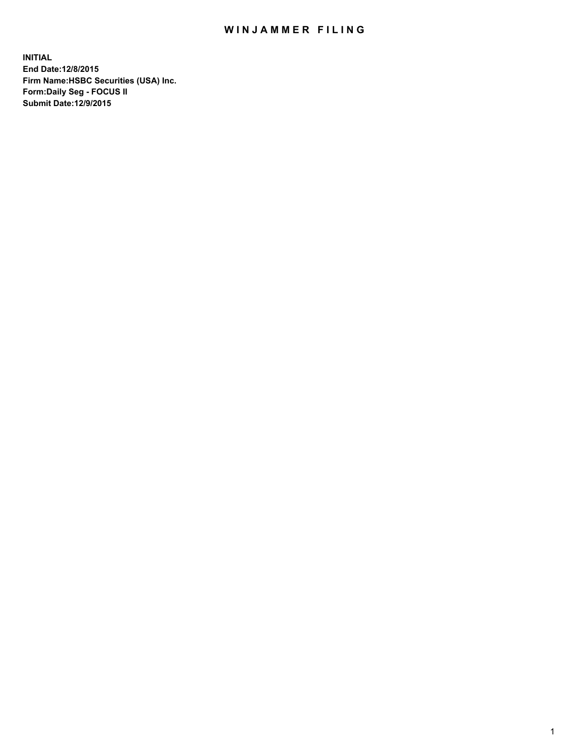## WIN JAMMER FILING

**INITIAL End Date:12/8/2015 Firm Name:HSBC Securities (USA) Inc. Form:Daily Seg - FOCUS II Submit Date:12/9/2015**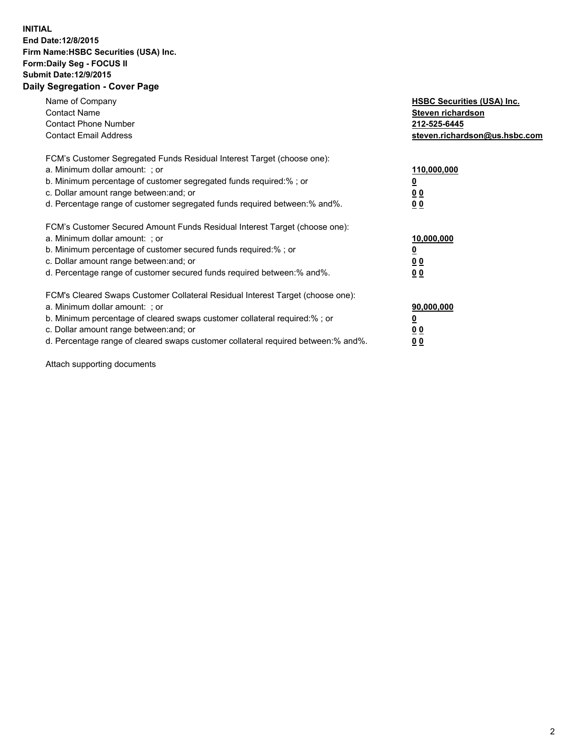## **INITIAL End Date:12/8/2015 Firm Name:HSBC Securities (USA) Inc. Form:Daily Seg - FOCUS II Submit Date:12/9/2015 Daily Segregation - Cover Page**

| Name of Company<br><b>Contact Name</b><br><b>Contact Phone Number</b><br><b>Contact Email Address</b>                                                                                                                                                                                                                         | <b>HSBC Securities (USA) Inc.</b><br>Steven richardson<br>212-525-6445<br>steven.richardson@us.hsbc.com |
|-------------------------------------------------------------------------------------------------------------------------------------------------------------------------------------------------------------------------------------------------------------------------------------------------------------------------------|---------------------------------------------------------------------------------------------------------|
| FCM's Customer Segregated Funds Residual Interest Target (choose one):<br>a. Minimum dollar amount: ; or<br>b. Minimum percentage of customer segregated funds required:%; or<br>c. Dollar amount range between: and; or<br>d. Percentage range of customer segregated funds required between: % and %.                       | 110,000,000<br><u>0</u><br>0 <sub>0</sub><br>0 <sub>0</sub>                                             |
| FCM's Customer Secured Amount Funds Residual Interest Target (choose one):<br>a. Minimum dollar amount: ; or<br>b. Minimum percentage of customer secured funds required:%; or<br>c. Dollar amount range between: and; or<br>d. Percentage range of customer secured funds required between: % and %.                         | 10,000,000<br>0 <sub>0</sub><br>0 <sub>0</sub>                                                          |
| FCM's Cleared Swaps Customer Collateral Residual Interest Target (choose one):<br>a. Minimum dollar amount: ; or<br>b. Minimum percentage of cleared swaps customer collateral required:%; or<br>c. Dollar amount range between: and; or<br>d. Percentage range of cleared swaps customer collateral required between:% and%. | 90,000,000<br><u>0</u><br>00<br><u>00</u>                                                               |

Attach supporting documents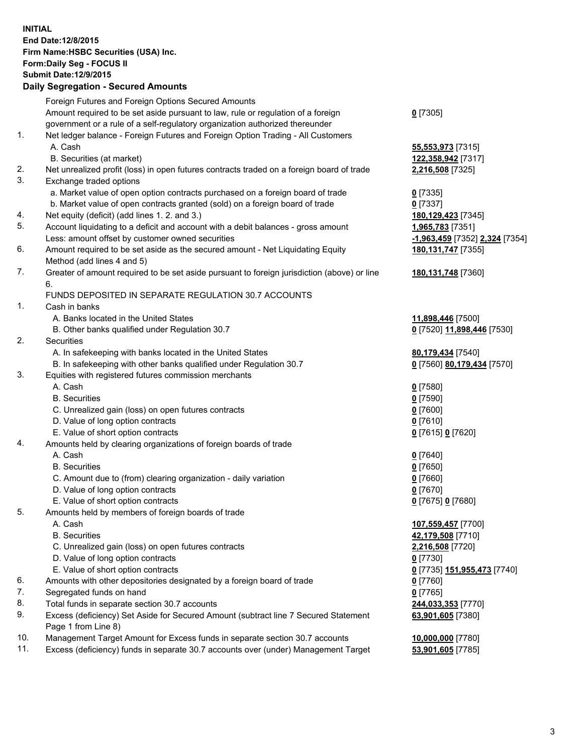**INITIAL End Date:12/8/2015 Firm Name:HSBC Securities (USA) Inc. Form:Daily Seg - FOCUS II Submit Date:12/9/2015**

## **Daily Segregation - Secured Amounts** Foreign Futures and Foreign Options Secured Amounts

|     | Foreign Futures and Foreign Options Secured Amounts                                         |                                         |
|-----|---------------------------------------------------------------------------------------------|-----------------------------------------|
|     | Amount required to be set aside pursuant to law, rule or regulation of a foreign            | $0$ [7305]                              |
|     | government or a rule of a self-regulatory organization authorized thereunder                |                                         |
| 1.  | Net ledger balance - Foreign Futures and Foreign Option Trading - All Customers             |                                         |
|     | A. Cash                                                                                     | 55,553,973 [7315]                       |
|     | B. Securities (at market)                                                                   | 122,358,942 [7317]                      |
| 2.  | Net unrealized profit (loss) in open futures contracts traded on a foreign board of trade   | 2,216,508 [7325]                        |
| 3.  | Exchange traded options                                                                     |                                         |
|     | a. Market value of open option contracts purchased on a foreign board of trade              | $0$ [7335]                              |
|     | b. Market value of open contracts granted (sold) on a foreign board of trade                | $0$ [7337]                              |
| 4.  | Net equity (deficit) (add lines 1.2. and 3.)                                                | 180,129,423 [7345]                      |
| 5.  | Account liquidating to a deficit and account with a debit balances - gross amount           | 1,965,783 [7351]                        |
|     | Less: amount offset by customer owned securities                                            | -1,963,459 [7352] 2,324 [7354]          |
| 6.  | Amount required to be set aside as the secured amount - Net Liquidating Equity              | 180, 131, 747 [7355]                    |
|     | Method (add lines 4 and 5)                                                                  |                                         |
| 7.  | Greater of amount required to be set aside pursuant to foreign jurisdiction (above) or line | 180, 131, 748 [7360]                    |
|     | 6.                                                                                          |                                         |
|     | FUNDS DEPOSITED IN SEPARATE REGULATION 30.7 ACCOUNTS                                        |                                         |
| 1.  | Cash in banks                                                                               |                                         |
|     | A. Banks located in the United States                                                       | 11,898,446 [7500]                       |
|     | B. Other banks qualified under Regulation 30.7                                              | 0 [7520] 11,898,446 [7530]              |
| 2.  | Securities                                                                                  |                                         |
|     | A. In safekeeping with banks located in the United States                                   | 80,179,434 [7540]                       |
|     | B. In safekeeping with other banks qualified under Regulation 30.7                          | 0 [7560] 80,179,434 [7570]              |
| 3.  | Equities with registered futures commission merchants                                       |                                         |
|     | A. Cash                                                                                     | $0$ [7580]                              |
|     | <b>B.</b> Securities                                                                        | $0$ [7590]                              |
|     | C. Unrealized gain (loss) on open futures contracts                                         | $0$ [7600]                              |
|     | D. Value of long option contracts                                                           | $0$ [7610]                              |
|     | E. Value of short option contracts                                                          | 0 [7615] 0 [7620]                       |
| 4.  | Amounts held by clearing organizations of foreign boards of trade                           |                                         |
|     | A. Cash                                                                                     | $0$ [7640]                              |
|     | <b>B.</b> Securities                                                                        | $0$ [7650]                              |
|     | C. Amount due to (from) clearing organization - daily variation                             | $0$ [7660]                              |
|     | D. Value of long option contracts                                                           | $0$ [7670]                              |
|     | E. Value of short option contracts                                                          | 0 [7675] 0 [7680]                       |
| 5.  | Amounts held by members of foreign boards of trade                                          |                                         |
|     | A. Cash                                                                                     | 107,559,457 [7700]                      |
|     | <b>B.</b> Securities                                                                        | 42,179,508 [7710]                       |
|     | C. Unrealized gain (loss) on open futures contracts                                         | 2,216,508 [7720]                        |
|     | D. Value of long option contracts                                                           | $0$ [7730]                              |
|     | E. Value of short option contracts                                                          | 0 [7735] 151,955,473 [7740]             |
| 6.  | Amounts with other depositories designated by a foreign board of trade                      | $0$ [7760]                              |
| 7.  | Segregated funds on hand                                                                    | $0$ [7765]                              |
| 8.  | Total funds in separate section 30.7 accounts                                               |                                         |
| 9.  | Excess (deficiency) Set Aside for Secured Amount (subtract line 7 Secured Statement         | 244,033,353 [7770]<br>63,901,605 [7380] |
|     | Page 1 from Line 8)                                                                         |                                         |
| 10. | Management Target Amount for Excess funds in separate section 30.7 accounts                 | 10,000,000 [7780]                       |
| 11. | Excess (deficiency) funds in separate 30.7 accounts over (under) Management Target          | 53,901,605 [7785]                       |
|     |                                                                                             |                                         |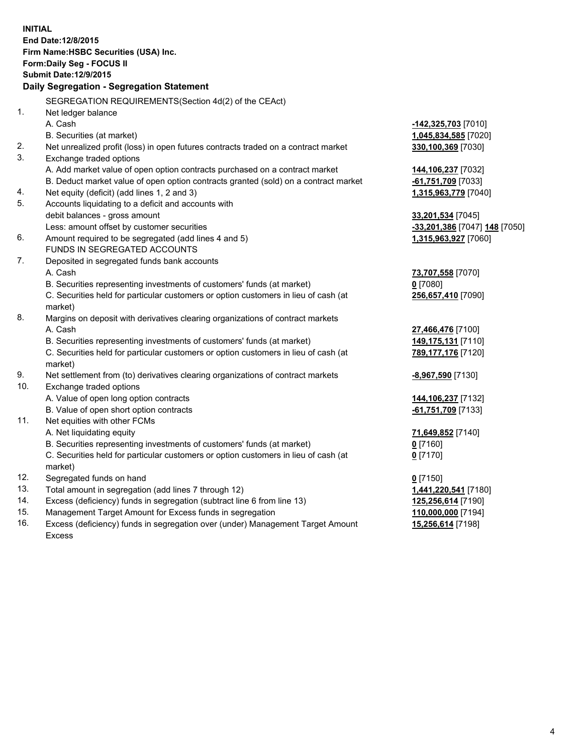| <b>INITIAL</b> | End Date: 12/8/2015<br>Firm Name: HSBC Securities (USA) Inc.<br>Form: Daily Seg - FOCUS II<br><b>Submit Date: 12/9/2015</b><br><b>Daily Segregation - Segregation Statement</b> |                               |
|----------------|---------------------------------------------------------------------------------------------------------------------------------------------------------------------------------|-------------------------------|
|                | SEGREGATION REQUIREMENTS(Section 4d(2) of the CEAct)                                                                                                                            |                               |
| 1.             | Net ledger balance                                                                                                                                                              |                               |
|                | A. Cash                                                                                                                                                                         | -142,325,703 [7010]           |
|                | B. Securities (at market)                                                                                                                                                       | 1,045,834,585 [7020]          |
| 2.             | Net unrealized profit (loss) in open futures contracts traded on a contract market                                                                                              | 330,100,369 [7030]            |
| 3.             | Exchange traded options                                                                                                                                                         |                               |
|                | A. Add market value of open option contracts purchased on a contract market                                                                                                     | 144,106,237 [7032]            |
|                | B. Deduct market value of open option contracts granted (sold) on a contract market                                                                                             | -61,751,709 [7033]            |
| 4.             | Net equity (deficit) (add lines 1, 2 and 3)                                                                                                                                     | 1,315,963,779 [7040]          |
| 5.             | Accounts liquidating to a deficit and accounts with                                                                                                                             |                               |
|                | debit balances - gross amount                                                                                                                                                   | 33,201,534 [7045]             |
|                | Less: amount offset by customer securities                                                                                                                                      | -33,201,386 [7047] 148 [7050] |
| 6.             | Amount required to be segregated (add lines 4 and 5)                                                                                                                            | 1,315,963,927 [7060]          |
|                | FUNDS IN SEGREGATED ACCOUNTS                                                                                                                                                    |                               |
| 7.             | Deposited in segregated funds bank accounts                                                                                                                                     |                               |
|                | A. Cash                                                                                                                                                                         | 73,707,558 [7070]             |
|                | B. Securities representing investments of customers' funds (at market)                                                                                                          | $0$ [7080]                    |
|                | C. Securities held for particular customers or option customers in lieu of cash (at                                                                                             | 256,657,410 [7090]            |
|                | market)                                                                                                                                                                         |                               |
| 8.             | Margins on deposit with derivatives clearing organizations of contract markets                                                                                                  |                               |
|                | A. Cash                                                                                                                                                                         | 27,466,476 [7100]             |
|                | B. Securities representing investments of customers' funds (at market)                                                                                                          | 149,175,131 [7110]            |
|                | C. Securities held for particular customers or option customers in lieu of cash (at                                                                                             | 789,177,176 [7120]            |
|                | market)                                                                                                                                                                         |                               |
| 9.             | Net settlement from (to) derivatives clearing organizations of contract markets                                                                                                 | <u>-8,967,590</u> [7130]      |
| 10.            | Exchange traded options                                                                                                                                                         |                               |
|                | A. Value of open long option contracts                                                                                                                                          | 144, 106, 237 [7132]          |
|                | B. Value of open short option contracts                                                                                                                                         | -61,751,709 [7133]            |
| 11.            | Net equities with other FCMs                                                                                                                                                    |                               |
|                | A. Net liquidating equity                                                                                                                                                       | 71,649,852 [7140]             |
|                | B. Securities representing investments of customers' funds (at market)                                                                                                          | $0$ [7160]                    |
|                | C. Securities held for particular customers or option customers in lieu of cash (at<br>market)                                                                                  | $0$ [7170]                    |
| 12.            | Segregated funds on hand                                                                                                                                                        | $0$ [7150]                    |
| 13.            | Total amount in segregation (add lines 7 through 12)                                                                                                                            | 1,441,220,541 [7180]          |
| 14.            | Excess (deficiency) funds in segregation (subtract line 6 from line 13)                                                                                                         | 125,256,614 [7190]            |
| 15.            | Management Target Amount for Excess funds in segregation                                                                                                                        | 110,000,000 [7194]            |
| 16.            | Excess (deficiency) funds in segregation over (under) Management Target Amount                                                                                                  | 15,256,614 [7198]             |

16. Excess (deficiency) funds in segregation over (under) Management Target Amount Excess